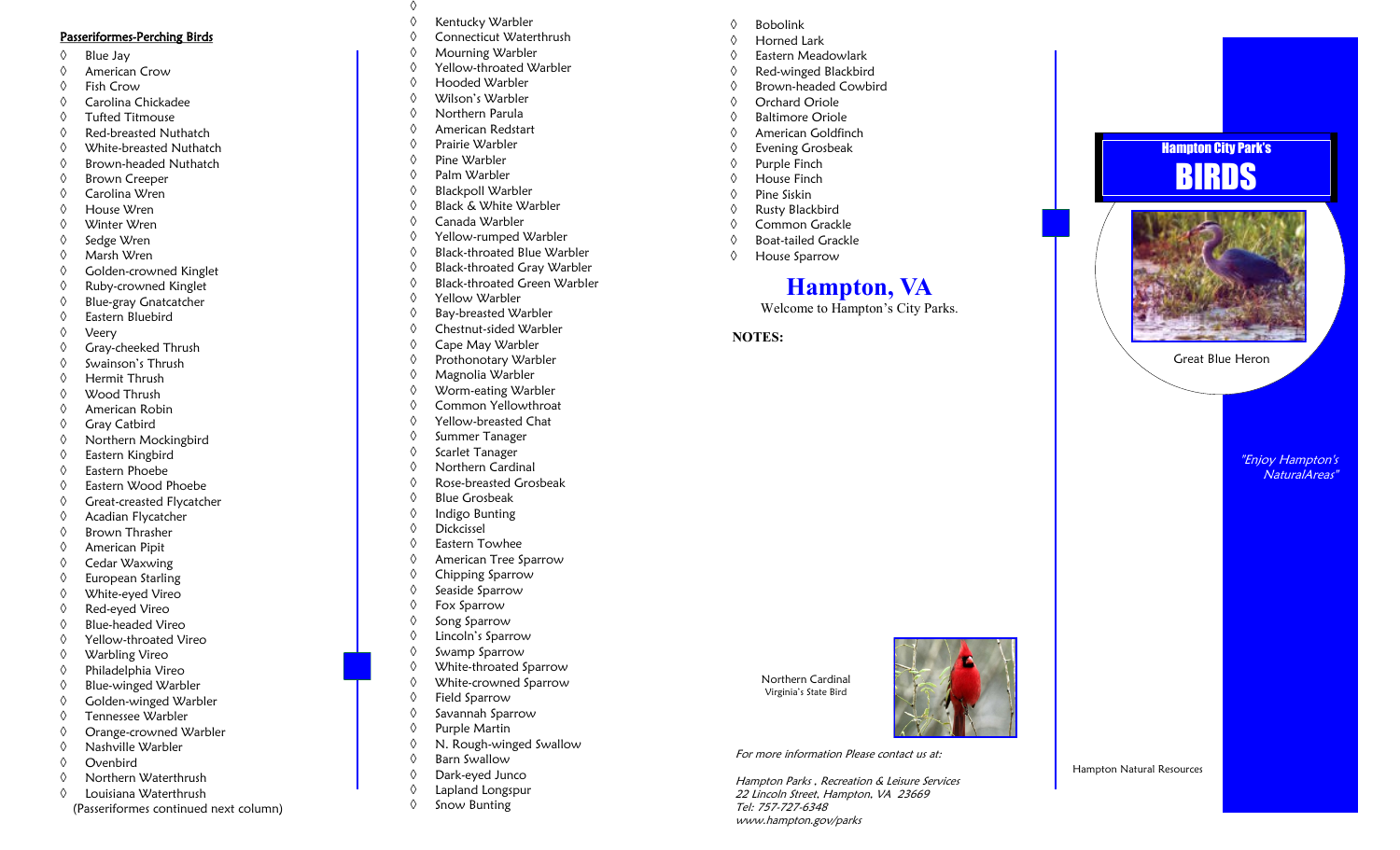#### Passeriformes -Perching Birds

- $\Diamond$  Blue Jay
- American Crow
- Fish Crow
- Carolina Chickadee
- Tufted Titmouse
- Red-breasted Nuthatch
- White-breasted Nuthatch
- $\Diamond$  Brown-headed Nuthatch
- Brown Creeper
- Carolina Wren
- House Wren
- Winter Wren
- ♦ Sedge Wren
- Marsh Wren
- Golden-crowned Kinglet
- Ruby-crowned Kinglet
- Blue-gray Gnatcatcher
- Eastern Bluebird
- Veery
- $\Diamond$  Gray-cheeked Thrush
- $\Diamond$  Swainson's Thrush
- Hermit Thrush
- Wood Thrush
- American Robin
- $\Diamond$  Gray Catbird
- Northern Mockingbird
- Eastern Kingbird
- Eastern Phoebe
- Eastern Wood Phoebe
- $\Diamond$  Great-creasted Flycatcher
- Acadian Flycatcher
- Brown Thrasher
- American Pipit
- Cedar Waxwing
- $\Diamond$  European Starling
- White-eyed Vireo
- Red-eyed Vireo
- $\Diamond$  Blue-headed Vireo
- Yellow-throated Vireo
- Warbling Vireo
- Philadelphia Vireo
- $\Diamond$  Blue-winged Warbler
- Golden-winged Warbler
- Tennessee Warbler
- Orange-crowned Warbler
- $\Diamond$  Nashville Warbler
- Ovenbird
- Northern Waterthrush
- Louisiana Waterthrush
- (Passeriformes continued next column)
- ◊<br>◊ Kentucky Warbler
- 
- ♦ Connecticut Waterthrush
- Mourning Warbler
- Yellow-throated Warbler
- Hooded Warbler
- Wilson's Warbler
- Northern Parula
- American Redstart
- Prairie Warbler
- Pine Warbler
- Palm Warbler
- ♦ Blackpoll Warbler
- Black & White Warbler
- 
- Canada Warbler
- Yellow-rumped Warbler
- Black-throated Blue Warbler
- Black-throated Gray Warbler
- Black-throated Green Warbler
- Yellow Warbler
- Bay-breasted Warbler
- Chestnut-sided Warbler

"Enjoy Hampton's NaturalAreas"

Great Blue Heron

Hampton Natural Resources

**Hampton City Park's** 

BIRDS

'

- Cape May Warbler
- ♦ Prothonotary Warbler
- Magnolia Warbler
- Worm-eating Warbler
- Common Yellowthroat
- Yellow-breasted Chat
- $\Diamond$  Summer Tanager
- $\Diamond$  Scarlet Tanager
- Northern Cardinal
- Rose-breasted Grosbeak
- Blue Grosbeak
- $\Diamond$  Indigo Bunting
- Dickcissel
- Eastern Towhee
- American Tree Sparrow
- Chipping Sparrow
- $\Diamond$  Seaside Sparrow
- 
- Fox Sparrow
- $\Diamond$  Song Sparrow
- Lincoln's Sparrow
- $\Diamond$  Swamp Sparrow
- White-throated Sparrow

N. Rough-winged Swallow

For more information Please contact us at:

Tel: 757-727-6348 www.hampton.gov/parks

Northern Cardinal Virginia's State Bird

Hampton Parks , Recreation & Leisure Services 22 Lincoln Street, Hampton, VA 23669

**Hampton, VA** Welcome to Hampton 's City Parks.

**NOTES:**

 Bobolink Horned Lark Eastern Meadowlark Red-winged Blackbird Brown-headed Cowbird Orchard Oriole  $\Diamond$  Baltimore Oriole American Goldfinch Evening Grosbeak  $\Diamond$  Purple Finch House Finch Pine Siskin Rusty Blackbird ♦ Common Grackle Boat-tailed Grackle House Sparrow

- White-crowned Sparrow
- Field Sparrow

Purple Martin

 $\Diamond$  Barn Swallow Dark-eyed Junco Lapland Longspur  $\Diamond$  Snow Bunting

 $\Diamond$  Savannah Sparrow